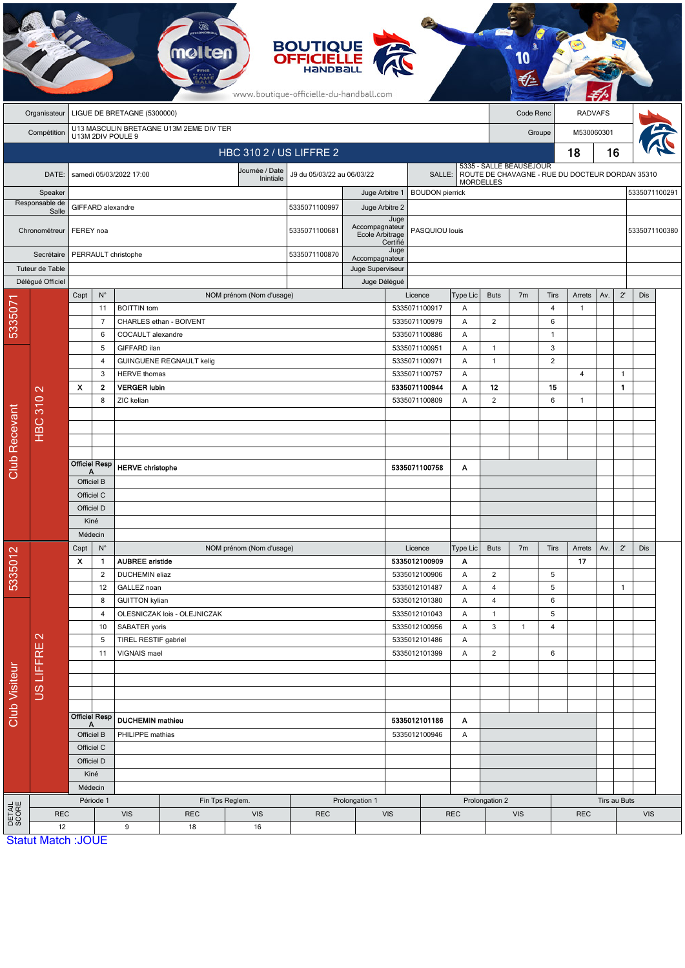|                      | <b>BOUTIQUE<br/>OFFICIELLE</b><br>www.boutique-officielle-du-handball.com |                                                                     |                                                 |                                              |                                         |                                |                                 |                                   |                  |                                |                    |                                                                     |                         |                |                |               |              |               |  |
|----------------------|---------------------------------------------------------------------------|---------------------------------------------------------------------|-------------------------------------------------|----------------------------------------------|-----------------------------------------|--------------------------------|---------------------------------|-----------------------------------|------------------|--------------------------------|--------------------|---------------------------------------------------------------------|-------------------------|----------------|----------------|---------------|--------------|---------------|--|
|                      | Organisateur                                                              | LIGUE DE BRETAGNE (5300000)                                         |                                                 |                                              |                                         |                                |                                 |                                   |                  |                                |                    | <b>RADVAFS</b><br>Code Renc                                         |                         |                |                |               |              |               |  |
|                      | Compétition                                                               |                                                                     |                                                 | U13M 2DIV POULE 9                            | U13 MASCULIN BRETAGNE U13M 2EME DIV TER |                                |                                 |                                   |                  |                                |                    | M530060301<br>Groupe                                                |                         |                |                |               |              |               |  |
|                      |                                                                           |                                                                     |                                                 |                                              |                                         | <b>HBC 310 2 / US LIFFRE 2</b> |                                 |                                   |                  |                                |                    |                                                                     |                         |                | 18             | 16            |              |               |  |
|                      |                                                                           |                                                                     |                                                 |                                              |                                         |                                |                                 |                                   |                  |                                |                    |                                                                     | 5335 - SALLE BEAUSEJOUR |                |                |               |              |               |  |
| DATE:<br>Speaker     |                                                                           |                                                                     |                                                 | samedi 05/03/2022 17:00                      |                                         | Journée / Date<br>Inintiale    | J9 du 05/03/22 au 06/03/22      |                                   |                  | SALLE:                         |                    | ROUTE DE CHAVAGNE - RUE DU DOCTEUR DORDAN 35310<br><b>MORDELLES</b> |                         |                |                |               |              |               |  |
|                      |                                                                           |                                                                     |                                                 |                                              |                                         |                                |                                 | Juge Arbitre 1                    |                  | <b>BOUDON</b> pierrick         |                    |                                                                     |                         |                |                |               |              | 5335071100291 |  |
|                      | Responsable de<br>Salle                                                   |                                                                     | GIFFARD alexandre                               |                                              |                                         |                                |                                 | Juge Arbitre 2                    |                  |                                |                    |                                                                     |                         |                |                |               |              |               |  |
| Chronométreur        |                                                                           | FEREY noa                                                           |                                                 |                                              |                                         |                                | 5335071100681                   | Accompagnateur<br>Ecole Arbitrage | Juge<br>Certifié | PASQUIOU louis                 |                    |                                                                     |                         |                |                | 5335071100380 |              |               |  |
|                      | Secrétaire                                                                | PERRAULT christophe                                                 |                                                 |                                              |                                         |                                | 5335071100870<br>Accompagnateur |                                   | Juge             |                                |                    |                                                                     |                         |                |                |               |              |               |  |
|                      | Tuteur de Table                                                           |                                                                     |                                                 |                                              |                                         |                                | Juge Superviseur                |                                   |                  |                                |                    |                                                                     |                         |                |                |               |              |               |  |
|                      | Déléqué Officiel                                                          |                                                                     |                                                 |                                              |                                         |                                |                                 | Juge Délégué                      |                  |                                |                    |                                                                     |                         |                |                |               |              |               |  |
|                      |                                                                           | Capt                                                                | $\mathsf{N}^\circ$                              |                                              |                                         | NOM prénom (Nom d'usage)       |                                 |                                   |                  | Licence                        | Type Lic           | <b>Buts</b>                                                         | 7m                      | Tirs           | Arrets         | Av.           | $2^{\prime}$ | Dis           |  |
| 5335071              |                                                                           |                                                                     | 11<br>$\overline{7}$                            | <b>BOITTIN</b> tom                           |                                         |                                |                                 |                                   |                  | 5335071100917<br>5335071100979 | Α<br>Α             | $\overline{c}$                                                      |                         | 4<br>6         | $\mathbf{1}$   |               |              |               |  |
|                      |                                                                           |                                                                     | 6                                               | CHARLES ethan - BOIVENT<br>COCAULT alexandre |                                         |                                |                                 |                                   | 5335071100886    | Α                              |                    |                                                                     | $\overline{1}$          |                |                |               |              |               |  |
|                      |                                                                           |                                                                     | 5                                               | GIFFARD ilan                                 |                                         |                                |                                 | 5335071100951                     |                  | Α                              | 1                  |                                                                     | 3                       |                |                |               |              |               |  |
|                      |                                                                           |                                                                     | $\overline{4}$                                  |                                              | <b>GUINGUENE REGNAULT kelig</b>         |                                |                                 |                                   |                  | 5335071100971                  | Α                  | $\mathbf{1}$                                                        |                         | $\overline{2}$ |                |               |              |               |  |
|                      |                                                                           |                                                                     | 3                                               |                                              | <b>HERVE</b> thomas                     |                                |                                 |                                   |                  | 5335071100757                  | Α                  |                                                                     |                         |                | $\overline{4}$ |               | $\mathbf{1}$ |               |  |
|                      | $\mathbf{\Omega}$<br><b>HBC 310</b>                                       | $\boldsymbol{\mathsf{x}}$                                           | $\mathbf{2}$                                    | <b>VERGER lubin</b><br>8<br>ZIC kelian       |                                         |                                |                                 | 5335071100944                     |                  | Α                              | 12                 |                                                                     | 15                      |                |                | $\mathbf{1}$  |              |               |  |
|                      |                                                                           |                                                                     |                                                 |                                              |                                         |                                |                                 |                                   |                  | 5335071100809                  | Α                  | $\overline{2}$                                                      |                         | 6              | $\mathbf{1}$   |               |              |               |  |
|                      |                                                                           |                                                                     |                                                 |                                              |                                         |                                |                                 |                                   |                  |                                |                    |                                                                     |                         |                |                |               |              |               |  |
|                      |                                                                           |                                                                     |                                                 |                                              |                                         |                                |                                 |                                   |                  |                                |                    |                                                                     |                         |                |                |               |              |               |  |
|                      |                                                                           |                                                                     |                                                 |                                              |                                         |                                |                                 |                                   |                  |                                |                    |                                                                     |                         |                |                |               |              |               |  |
| <b>Club Recevant</b> |                                                                           | Officiel Resp<br>Α                                                  |                                                 | <b>HERVE christophe</b>                      |                                         |                                |                                 |                                   |                  |                                | 5335071100758<br>Α |                                                                     |                         |                |                |               |              |               |  |
|                      |                                                                           | Officiel B                                                          |                                                 |                                              |                                         |                                |                                 |                                   |                  |                                |                    |                                                                     |                         |                |                |               |              |               |  |
|                      |                                                                           | Officiel C                                                          |                                                 |                                              |                                         |                                |                                 |                                   |                  |                                |                    |                                                                     |                         |                |                |               |              |               |  |
|                      |                                                                           | Officiel D                                                          |                                                 |                                              |                                         |                                |                                 |                                   |                  |                                |                    |                                                                     |                         |                |                |               |              |               |  |
|                      |                                                                           | Kiné                                                                |                                                 |                                              |                                         |                                |                                 |                                   |                  |                                |                    |                                                                     |                         |                |                |               |              |               |  |
|                      |                                                                           | Médecin<br>$\mathsf{N}^\circ$                                       |                                                 |                                              | NOM prénom (Nom d'usage)                |                                |                                 |                                   |                  |                                |                    |                                                                     |                         |                |                |               |              |               |  |
| 5335012              |                                                                           | Capt<br>$\pmb{\mathsf{X}}$                                          | $\mathbf{1}$                                    | <b>AUBREE</b> aristide                       |                                         |                                |                                 |                                   |                  | Licence<br>5335012100909       | Type Lic<br>Α      | <b>Buts</b>                                                         | 7 <sub>m</sub>          | Tirs           | Arrets<br>17   | Av.           | $2^{\prime}$ | Dis           |  |
|                      |                                                                           |                                                                     | $\overline{c}$                                  |                                              | DUCHEMIN eliaz                          |                                |                                 |                                   |                  | 5335012100906                  | Α                  | $\overline{c}$                                                      |                         | 5              |                |               |              |               |  |
|                      |                                                                           |                                                                     | 12                                              | GALLEZ noan                                  |                                         |                                |                                 |                                   | 5335012101487    | Α                              | $\overline{4}$     |                                                                     | 5                       |                |                | $\mathbf{1}$  |              |               |  |
|                      |                                                                           |                                                                     | 8                                               | <b>GUITTON kylian</b>                        |                                         |                                |                                 |                                   |                  | 5335012101380                  | Α                  | $\overline{\mathbf{4}}$                                             |                         | 6              |                |               |              |               |  |
|                      |                                                                           |                                                                     | 4                                               | OLESNICZAK lois - OLEJNICZAK                 |                                         |                                |                                 | 5335012101043                     |                  | Α                              | $\mathbf{1}$       |                                                                     | 5                       |                |                |               |              |               |  |
|                      | $\mathbf{\Omega}$                                                         |                                                                     | 10                                              | SABATER yoris                                |                                         |                                |                                 |                                   |                  | 5335012100956<br>Α             |                    | 3                                                                   | $\mathbf{1}$            | 4              |                |               |              |               |  |
| Club Visiteur        | <b>US LIFFRE</b>                                                          |                                                                     | 5<br>TIREL RESTIF gabriel<br>11<br>VIGNAIS mael |                                              |                                         | 5335012101486<br>5335012101399 |                                 | Α<br>Α                            | $\overline{c}$   |                                | 6                  |                                                                     |                         |                |                |               |              |               |  |
|                      |                                                                           |                                                                     |                                                 |                                              |                                         |                                |                                 |                                   |                  |                                |                    |                                                                     |                         |                |                |               |              |               |  |
|                      |                                                                           |                                                                     |                                                 |                                              |                                         |                                |                                 |                                   |                  |                                |                    |                                                                     |                         |                |                |               |              |               |  |
|                      |                                                                           |                                                                     |                                                 |                                              |                                         |                                |                                 |                                   |                  |                                |                    |                                                                     |                         |                |                |               |              |               |  |
|                      |                                                                           |                                                                     |                                                 |                                              |                                         |                                |                                 |                                   |                  |                                |                    |                                                                     |                         |                |                |               |              |               |  |
|                      |                                                                           | <b>Officiel Resp</b><br>A<br>Officiel B<br>Officiel C<br>Officiel D |                                                 | <b>DUCHEMIN</b> mathieu                      |                                         |                                |                                 |                                   | 5335012101186    |                                | A                  |                                                                     |                         |                |                |               |              |               |  |
|                      |                                                                           |                                                                     |                                                 |                                              | PHILIPPE mathias                        |                                |                                 |                                   | 5335012100946    |                                | A                  |                                                                     |                         |                |                |               |              |               |  |
|                      |                                                                           |                                                                     |                                                 |                                              |                                         |                                |                                 |                                   |                  |                                |                    |                                                                     |                         |                |                |               |              |               |  |
|                      |                                                                           |                                                                     | Kiné                                            |                                              |                                         |                                |                                 |                                   |                  |                                |                    |                                                                     |                         |                |                |               |              |               |  |
|                      |                                                                           |                                                                     | Médecin                                         |                                              |                                         |                                |                                 |                                   |                  |                                |                    |                                                                     |                         |                |                |               |              |               |  |
|                      |                                                                           | Période 1                                                           |                                                 |                                              | Fin Tps Reglem.                         | Prolongation 1                 |                                 |                                   |                  |                                | Prolongation 2     |                                                                     |                         |                | Tirs au Buts   |               |              |               |  |
| DETAIL<br>SCORE      | <b>REC</b>                                                                |                                                                     |                                                 | <b>VIS</b><br><b>REC</b><br><b>VIS</b>       |                                         |                                | <b>REC</b>                      | <b>VIS</b>                        |                  | <b>REC</b>                     |                    | <b>VIS</b>                                                          |                         | <b>REC</b>     |                |               | <b>VIS</b>   |               |  |
|                      | 12                                                                        |                                                                     |                                                 | 9                                            | 18                                      | 16                             |                                 |                                   |                  |                                |                    |                                                                     |                         |                |                |               |              |               |  |
|                      | <b>Statut Match: JOUE</b>                                                 |                                                                     |                                                 |                                              |                                         |                                |                                 |                                   |                  |                                |                    |                                                                     |                         |                |                |               |              |               |  |